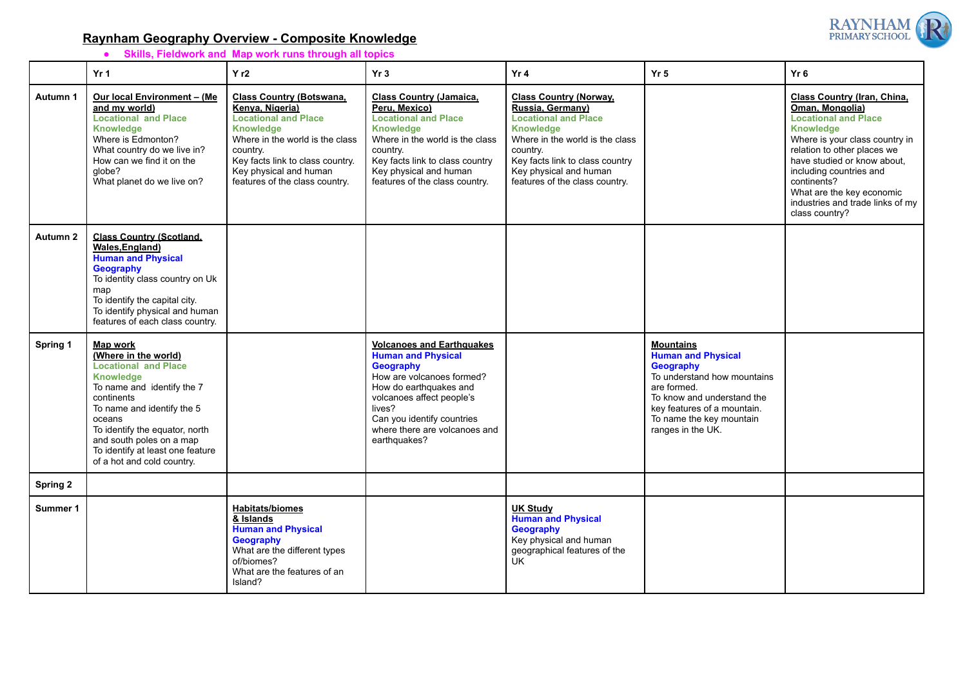## **Raynham Geography Overview - Composite Knowledge**

**● Skills, Fieldwork and Map work runs through all topics**

|                 | Yr <sub>1</sub>                                                                                                                                                                                                                                                                                                | Yr2                                                                                                                                                                                                                                                  | Yr3                                                                                                                                                                                                                                                     | Yr4                                                                                                                                                                                                                                                | Yr <sub>5</sub>                                                                                                                                                                                                        | Yr6                                                                                                                                                                                                                                                                                                                            |
|-----------------|----------------------------------------------------------------------------------------------------------------------------------------------------------------------------------------------------------------------------------------------------------------------------------------------------------------|------------------------------------------------------------------------------------------------------------------------------------------------------------------------------------------------------------------------------------------------------|---------------------------------------------------------------------------------------------------------------------------------------------------------------------------------------------------------------------------------------------------------|----------------------------------------------------------------------------------------------------------------------------------------------------------------------------------------------------------------------------------------------------|------------------------------------------------------------------------------------------------------------------------------------------------------------------------------------------------------------------------|--------------------------------------------------------------------------------------------------------------------------------------------------------------------------------------------------------------------------------------------------------------------------------------------------------------------------------|
| Autumn 1        | Our local Environment - (Me<br>and my world)<br><b>Locational and Place</b><br><b>Knowledge</b><br>Where is Edmonton?<br>What country do we live in?<br>How can we find it on the<br>globe?<br>What planet do we live on?                                                                                      | <b>Class Country (Botswana,</b><br>Kenya, Nigeria)<br><b>Locational and Place</b><br><b>Knowledge</b><br>Where in the world is the class<br>country.<br>Key facts link to class country.<br>Key physical and human<br>features of the class country. | <b>Class Country (Jamaica,</b><br>Peru, Mexico)<br><b>Locational and Place</b><br><b>Knowledge</b><br>Where in the world is the class<br>country.<br>Key facts link to class country<br>Key physical and human<br>features of the class country.        | <b>Class Country (Norway,</b><br>Russia, Germany)<br><b>Locational and Place</b><br><b>Knowledge</b><br>Where in the world is the class<br>country.<br>Key facts link to class country<br>Key physical and human<br>features of the class country. |                                                                                                                                                                                                                        | Class Country (Iran, China,<br>Oman, Mongolia)<br><b>Locational and Place</b><br><b>Knowledge</b><br>Where is your class country in<br>relation to other places we<br>have studied or know about.<br>including countries and<br>continents?<br>What are the key economic<br>industries and trade links of my<br>class country? |
| Autumn 2        | <b>Class Country (Scotland,</b><br>Wales, England)<br><b>Human and Physical</b><br>Geography<br>To identity class country on Uk<br>map<br>To identify the capital city.<br>To identify physical and human<br>features of each class country.                                                                   |                                                                                                                                                                                                                                                      |                                                                                                                                                                                                                                                         |                                                                                                                                                                                                                                                    |                                                                                                                                                                                                                        |                                                                                                                                                                                                                                                                                                                                |
| Spring 1        | <b>Map work</b><br>(Where in the world)<br><b>Locational and Place</b><br><b>Knowledge</b><br>To name and identify the 7<br>continents<br>To name and identify the 5<br>oceans<br>To identify the equator, north<br>and south poles on a map<br>To identify at least one feature<br>of a hot and cold country. |                                                                                                                                                                                                                                                      | <b>Volcanoes and Earthquakes</b><br><b>Human and Physical</b><br>Geography<br>How are volcanoes formed?<br>How do earthquakes and<br>volcanoes affect people's<br>lives?<br>Can you identify countries<br>where there are volcanoes and<br>earthquakes? |                                                                                                                                                                                                                                                    | <b>Mountains</b><br><b>Human and Physical</b><br>Geography<br>To understand how mountains<br>are formed.<br>To know and understand the<br>key features of a mountain.<br>To name the key mountain<br>ranges in the UK. |                                                                                                                                                                                                                                                                                                                                |
| <b>Spring 2</b> |                                                                                                                                                                                                                                                                                                                |                                                                                                                                                                                                                                                      |                                                                                                                                                                                                                                                         |                                                                                                                                                                                                                                                    |                                                                                                                                                                                                                        |                                                                                                                                                                                                                                                                                                                                |
| Summer 1        |                                                                                                                                                                                                                                                                                                                | <b>Habitats/biomes</b><br>& Islands<br><b>Human and Physical</b>                                                                                                                                                                                     |                                                                                                                                                                                                                                                         | <b>UK Study</b><br><b>Human and Physical</b><br>Geography                                                                                                                                                                                          |                                                                                                                                                                                                                        |                                                                                                                                                                                                                                                                                                                                |